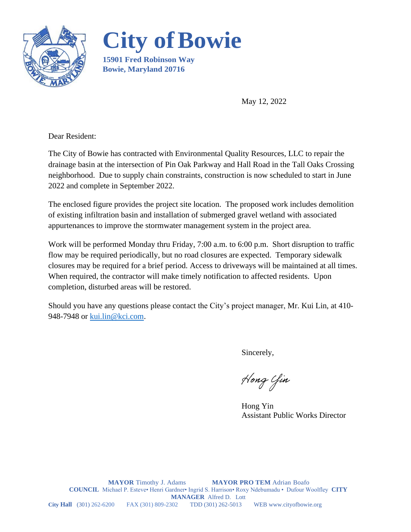



**15901 Fred Robinson Way Bowie, Maryland 20716**

May 12, 2022

Dear Resident:

The City of Bowie has contracted with Environmental Quality Resources, LLC to repair the drainage basin at the intersection of Pin Oak Parkway and Hall Road in the Tall Oaks Crossing neighborhood. Due to supply chain constraints, construction is now scheduled to start in June 2022 and complete in September 2022.

The enclosed figure provides the project site location. The proposed work includes demolition of existing infiltration basin and installation of submerged gravel wetland with associated appurtenances to improve the stormwater management system in the project area.

Work will be performed Monday thru Friday, 7:00 a.m. to 6:00 p.m. Short disruption to traffic flow may be required periodically, but no road closures are expected. Temporary sidewalk closures may be required for a brief period. Access to driveways will be maintained at all times. When required, the contractor will make timely notification to affected residents. Upon completion, disturbed areas will be restored.

Should you have any questions please contact the City's project manager, Mr. Kui Lin, at 410- 948-7948 or [kui.lin@kci.com.](mailto:kui.lin@kci.com)

Sincerely,

Hong Yin

Hong Yin Assistant Public Works Director